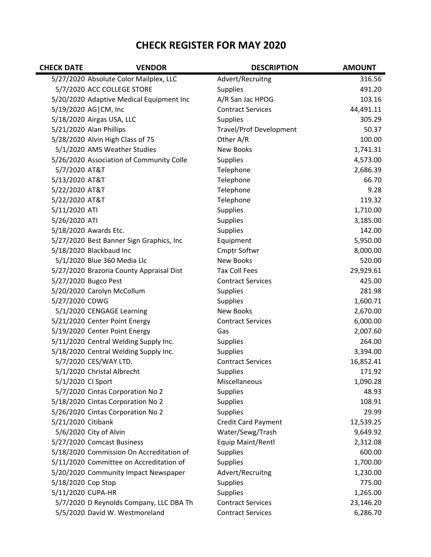## **CHECK REGISTER FOR MAY 2020**

| <b>CHECK DATE</b>  | <b>VENDOR</b>                            | <b>DESCRIPTION</b>             | <b>AMOUNT</b> |
|--------------------|------------------------------------------|--------------------------------|---------------|
|                    | 5/27/2020 Absolute Color Mailplex, LLC   | Advert/Recruitng               | 316.56        |
|                    | 5/7/2020 ACC COLLEGE STORE               | <b>Supplies</b>                | 491.20        |
|                    | 5/20/2020 Adaptive Medical Equipment Inc | A/R San Jac HPOG               | 103.16        |
|                    | 5/19/2020 AG   CM, Inc                   | <b>Contract Services</b>       | 44,491.11     |
|                    | 5/18/2020 Airgas USA, LLC                | <b>Supplies</b>                | 305.29        |
|                    | 5/21/2020 Alan Phillips                  | <b>Travel/Prof Development</b> | 50.37         |
|                    | 5/28/2020 Alvin High Class of 75         | Other A/R                      | 100.00        |
|                    | 5/1/2020 AMS Weather Studies             | <b>New Books</b>               | 1,741.31      |
|                    | 5/26/2020 Association of Community Colle | <b>Supplies</b>                | 4,573.00      |
| 5/7/2020 AT&T      |                                          | Telephone                      | 2,686.39      |
| 5/13/2020 AT&T     |                                          | Telephone                      | 66.70         |
| 5/22/2020 AT&T     |                                          | Telephone                      | 9.28          |
| 5/22/2020 AT&T     |                                          | Telephone                      | 119.32        |
| 5/11/2020 ATI      |                                          | <b>Supplies</b>                | 1,710.00      |
| 5/26/2020 ATI      |                                          | <b>Supplies</b>                | 3,185.00      |
|                    | 5/18/2020 Awards Etc.                    | Supplies                       | 142.00        |
|                    | 5/27/2020 Best Banner Sign Graphics, Inc | Equipment                      | 5,950.00      |
|                    | 5/18/2020 Blackbaud Inc                  | Cmptr Softwr                   | 8,000.00      |
|                    | 5/1/2020 Blue 360 Media Llc              | <b>New Books</b>               | 520.00        |
|                    | 5/27/2020 Brazoria County Appraisal Dist | <b>Tax Coll Fees</b>           | 29,929.61     |
|                    | 5/27/2020 Bugco Pest                     | <b>Contract Services</b>       | 425.00        |
|                    | 5/20/2020 Carolyn McCollum               | <b>Supplies</b>                | 281.98        |
| 5/27/2020 CDWG     |                                          | Supplies                       | 1,600.71      |
|                    | 5/1/2020 CENGAGE Learning                | <b>New Books</b>               | 2,670.00      |
|                    | 5/21/2020 Center Point Energy            | <b>Contract Services</b>       | 6,000.00      |
|                    | 5/19/2020 Center Point Energy            | Gas                            | 2,007.60      |
|                    | 5/11/2020 Central Welding Supply Inc.    | <b>Supplies</b>                | 264.00        |
|                    | 5/18/2020 Central Welding Supply Inc.    | <b>Supplies</b>                | 3,394.00      |
|                    | 5/7/2020 CES/WAY LTD.                    | <b>Contract Services</b>       | 16,852.41     |
|                    | 5/1/2020 Christal Albrecht               | <b>Supplies</b>                | 171.92        |
| 5/1/2020 CI Sport  |                                          | Miscellaneous                  | 1,090.28      |
|                    | 5/7/2020 Cintas Corporation No 2         | <b>Supplies</b>                | 48.93         |
|                    | 5/18/2020 Cintas Corporation No 2        | <b>Supplies</b>                | 108.91        |
|                    | 5/26/2020 Cintas Corporation No 2        | Supplies                       | 29.99         |
| 5/21/2020 Citibank |                                          | Credit Card Payment            | 12,539.25     |
|                    | 5/6/2020 City of Alvin                   | Water/Sewg/Trash               | 9,649.92      |
|                    | 5/27/2020 Comcast Business               | Equip Maint/Rentl              | 2,312.08      |
|                    | 5/18/2020 Commission On Accreditation of | <b>Supplies</b>                | 600.00        |
|                    | 5/11/2020 Committee on Accreditation of  | Supplies                       | 1,700.00      |
|                    | 5/20/2020 Community Impact Newspaper     | Advert/Recruitng               | 1,230.00      |
| 5/18/2020 Cop Stop |                                          | <b>Supplies</b>                | 775.00        |
| 5/11/2020 CUPA-HR  |                                          | Supplies                       | 1,265.00      |
|                    | 5/7/2020 D Reynolds Company, LLC DBA Th  | <b>Contract Services</b>       | 23,146.20     |
|                    | 5/5/2020 David W. Westmoreland           | <b>Contract Services</b>       | 6,286.70      |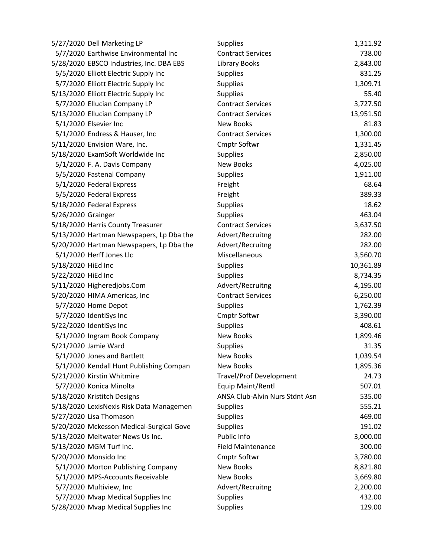| 5/27/2020 Dell Marketing LP              | <b>Supplies</b>                | 1,311.92  |
|------------------------------------------|--------------------------------|-----------|
| 5/7/2020 Earthwise Environmental Inc     | <b>Contract Services</b>       | 738.00    |
| 5/28/2020 EBSCO Industries, Inc. DBA EBS | <b>Library Books</b>           | 2,843.00  |
| 5/5/2020 Elliott Electric Supply Inc     | <b>Supplies</b>                | 831.25    |
| 5/7/2020 Elliott Electric Supply Inc     | <b>Supplies</b>                | 1,309.71  |
| 5/13/2020 Elliott Electric Supply Inc    | <b>Supplies</b>                | 55.40     |
| 5/7/2020 Ellucian Company LP             | <b>Contract Services</b>       | 3,727.50  |
| 5/13/2020 Ellucian Company LP            | <b>Contract Services</b>       | 13,951.50 |
| 5/1/2020 Elsevier Inc                    | New Books                      | 81.83     |
| 5/1/2020 Endress & Hauser, Inc           | <b>Contract Services</b>       | 1,300.00  |
| 5/11/2020 Envision Ware, Inc.            | <b>Cmptr Softwr</b>            | 1,331.45  |
| 5/18/2020 ExamSoft Worldwide Inc         | <b>Supplies</b>                | 2,850.00  |
| 5/1/2020 F. A. Davis Company             | <b>New Books</b>               | 4,025.00  |
| 5/5/2020 Fastenal Company                | <b>Supplies</b>                | 1,911.00  |
| 5/1/2020 Federal Express                 | Freight                        | 68.64     |
| 5/5/2020 Federal Express                 | Freight                        | 389.33    |
| 5/18/2020 Federal Express                | <b>Supplies</b>                | 18.62     |
| 5/26/2020 Grainger                       | <b>Supplies</b>                | 463.04    |
| 5/18/2020 Harris County Treasurer        | <b>Contract Services</b>       | 3,637.50  |
| 5/13/2020 Hartman Newspapers, Lp Dba the | Advert/Recruitng               | 282.00    |
| 5/20/2020 Hartman Newspapers, Lp Dba the | Advert/Recruitng               | 282.00    |
| 5/1/2020 Herff Jones Llc                 | Miscellaneous                  | 3,560.70  |
| 5/18/2020 HiEd Inc                       | <b>Supplies</b>                | 10,361.89 |
| 5/22/2020 HiEd Inc                       | <b>Supplies</b>                | 8,734.35  |
| 5/11/2020 Higheredjobs.Com               | Advert/Recruitng               | 4,195.00  |
| 5/20/2020 HIMA Americas, Inc             | <b>Contract Services</b>       | 6,250.00  |
| 5/7/2020 Home Depot                      | <b>Supplies</b>                | 1,762.39  |
| 5/7/2020 IdentiSys Inc                   | <b>Cmptr Softwr</b>            | 3,390.00  |
| 5/22/2020 IdentiSys Inc                  | <b>Supplies</b>                | 408.61    |
| 5/1/2020 Ingram Book Company             | New Books                      | 1,899.46  |
| 5/21/2020 Jamie Ward                     | <b>Supplies</b>                | 31.35     |
| 5/1/2020 Jones and Bartlett              | New Books                      | 1,039.54  |
| 5/1/2020 Kendall Hunt Publishing Compan  | <b>New Books</b>               | 1,895.36  |
| 5/21/2020 Kirstin Whitmire               | Travel/Prof Development        | 24.73     |
| 5/7/2020 Konica Minolta                  | Equip Maint/Rentl              | 507.01    |
| 5/18/2020 Kristitch Designs              | ANSA Club-Alvin Nurs Stdnt Asn | 535.00    |
| 5/18/2020 LexisNexis Risk Data Managemen | <b>Supplies</b>                | 555.21    |
| 5/27/2020 Lisa Thomason                  | <b>Supplies</b>                | 469.00    |
| 5/20/2020 Mckesson Medical-Surgical Gove | <b>Supplies</b>                | 191.02    |
| 5/13/2020 Meltwater News Us Inc.         | Public Info                    | 3,000.00  |
| 5/13/2020 MGM Turf Inc.                  | <b>Field Maintenance</b>       | 300.00    |
| 5/20/2020 Monsido Inc                    | <b>Cmptr Softwr</b>            | 3,780.00  |
| 5/1/2020 Morton Publishing Company       | New Books                      | 8,821.80  |
| 5/1/2020 MPS-Accounts Receivable         | <b>New Books</b>               | 3,669.80  |
| 5/7/2020 Multiview, Inc                  | Advert/Recruitng               | 2,200.00  |
| 5/7/2020 Mvap Medical Supplies Inc       | <b>Supplies</b>                | 432.00    |
| 5/28/2020 Mvap Medical Supplies Inc      | Supplies                       | 129.00    |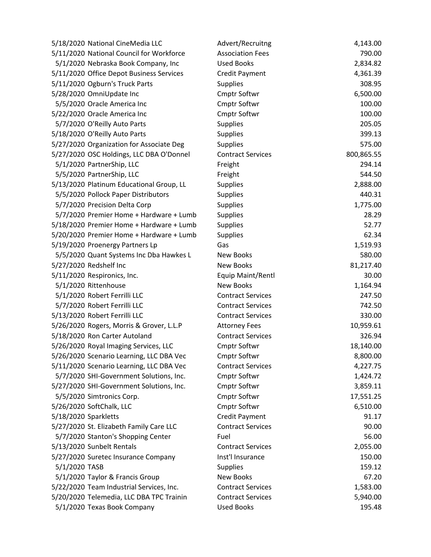| 5/11/2020 National Council for Workforce<br>790.00<br><b>Association Fees</b><br><b>Used Books</b><br>5/1/2020 Nebraska Book Company, Inc<br>2,834.82<br>5/11/2020 Office Depot Business Services<br>4,361.39<br><b>Credit Payment</b><br>5/11/2020 Ogburn's Truck Parts<br>308.95<br><b>Supplies</b><br>6,500.00<br>5/28/2020 OmniUpdate Inc<br><b>Cmptr Softwr</b><br>5/5/2020 Oracle America Inc<br><b>Cmptr Softwr</b><br>100.00<br>5/22/2020 Oracle America Inc<br>100.00<br><b>Cmptr Softwr</b><br>5/7/2020 O'Reilly Auto Parts<br>205.05<br><b>Supplies</b><br>399.13<br>5/18/2020 O'Reilly Auto Parts<br><b>Supplies</b><br>5/27/2020 Organization for Associate Deg<br><b>Supplies</b><br>575.00<br>5/27/2020 OSC Holdings, LLC DBA O'Donnel<br>800,865.55<br><b>Contract Services</b><br>5/1/2020 PartnerShip, LLC<br>294.14<br>Freight<br>5/5/2020 PartnerShip, LLC<br>544.50<br>Freight<br>5/13/2020 Platinum Educational Group, LL<br>2,888.00<br><b>Supplies</b><br>5/5/2020 Pollock Paper Distributors<br>440.31<br><b>Supplies</b><br>5/7/2020 Precision Delta Corp<br>Supplies<br>1,775.00<br>28.29<br>5/7/2020 Premier Home + Hardware + Lumb<br>Supplies<br>52.77<br><b>Supplies</b><br>5/18/2020 Premier Home + Hardware + Lumb<br>62.34<br>5/20/2020 Premier Home + Hardware + Lumb<br>Supplies<br>1,519.93<br>5/19/2020 Proenergy Partners Lp<br>Gas<br>580.00<br>5/5/2020 Quant Systems Inc Dba Hawkes L<br><b>New Books</b><br>5/27/2020 Redshelf Inc<br><b>New Books</b><br>81,217.40<br>5/11/2020 Respironics, Inc.<br>Equip Maint/Rentl<br>30.00<br>5/1/2020 Rittenhouse<br><b>New Books</b><br>1,164.94<br>5/1/2020 Robert Ferrilli LLC<br>247.50<br><b>Contract Services</b><br>5/7/2020 Robert Ferrilli LLC<br><b>Contract Services</b><br>742.50<br>5/13/2020 Robert Ferrilli LLC<br>330.00<br><b>Contract Services</b><br>10,959.61<br>5/26/2020 Rogers, Morris & Grover, L.L.P<br><b>Attorney Fees</b><br>5/18/2020 Ron Carter Autoland<br><b>Contract Services</b><br>326.94<br>5/26/2020 Royal Imaging Services, LLC<br><b>Cmptr Softwr</b><br>18,140.00<br>5/26/2020 Scenario Learning, LLC DBA Vec<br>8,800.00<br><b>Cmptr Softwr</b><br>5/11/2020 Scenario Learning, LLC DBA Vec<br><b>Contract Services</b><br>4,227.75<br>5/7/2020 SHI-Government Solutions, Inc.<br><b>Cmptr Softwr</b><br>1,424.72<br>5/27/2020 SHI-Government Solutions, Inc.<br><b>Cmptr Softwr</b><br>3,859.11<br>5/5/2020 Simtronics Corp.<br><b>Cmptr Softwr</b><br>17,551.25<br>5/26/2020 SoftChalk, LLC<br><b>Cmptr Softwr</b><br>6,510.00<br>5/18/2020 Sparkletts<br>91.17<br><b>Credit Payment</b><br>5/27/2020 St. Elizabeth Family Care LLC<br><b>Contract Services</b><br>90.00<br>5/7/2020 Stanton's Shopping Center<br>56.00<br>Fuel<br>5/13/2020 Sunbelt Rentals<br>2,055.00<br><b>Contract Services</b><br>Inst'l Insurance<br>5/27/2020 Suretec Insurance Company<br>150.00<br>5/1/2020 TASB<br>159.12<br><b>Supplies</b><br>5/1/2020 Taylor & Francis Group<br><b>New Books</b><br>67.20<br>5/22/2020 Team Industrial Services, Inc.<br><b>Contract Services</b><br>1,583.00<br>5/20/2020 Telemedia, LLC DBA TPC Trainin<br><b>Contract Services</b><br>5,940.00 | 5/18/2020 National CineMedia LLC | Advert/Recruitng  | 4,143.00 |
|----------------------------------------------------------------------------------------------------------------------------------------------------------------------------------------------------------------------------------------------------------------------------------------------------------------------------------------------------------------------------------------------------------------------------------------------------------------------------------------------------------------------------------------------------------------------------------------------------------------------------------------------------------------------------------------------------------------------------------------------------------------------------------------------------------------------------------------------------------------------------------------------------------------------------------------------------------------------------------------------------------------------------------------------------------------------------------------------------------------------------------------------------------------------------------------------------------------------------------------------------------------------------------------------------------------------------------------------------------------------------------------------------------------------------------------------------------------------------------------------------------------------------------------------------------------------------------------------------------------------------------------------------------------------------------------------------------------------------------------------------------------------------------------------------------------------------------------------------------------------------------------------------------------------------------------------------------------------------------------------------------------------------------------------------------------------------------------------------------------------------------------------------------------------------------------------------------------------------------------------------------------------------------------------------------------------------------------------------------------------------------------------------------------------------------------------------------------------------------------------------------------------------------------------------------------------------------------------------------------------------------------------------------------------------------------------------------------------------------------------------------------------------------------------------------------------------------------------------------------------------------------------------------------------------------------------------------------------------------------------------------------------------------------------------------------------------------------------------------------------------------------------------------------------------------------------|----------------------------------|-------------------|----------|
|                                                                                                                                                                                                                                                                                                                                                                                                                                                                                                                                                                                                                                                                                                                                                                                                                                                                                                                                                                                                                                                                                                                                                                                                                                                                                                                                                                                                                                                                                                                                                                                                                                                                                                                                                                                                                                                                                                                                                                                                                                                                                                                                                                                                                                                                                                                                                                                                                                                                                                                                                                                                                                                                                                                                                                                                                                                                                                                                                                                                                                                                                                                                                                                              |                                  |                   |          |
|                                                                                                                                                                                                                                                                                                                                                                                                                                                                                                                                                                                                                                                                                                                                                                                                                                                                                                                                                                                                                                                                                                                                                                                                                                                                                                                                                                                                                                                                                                                                                                                                                                                                                                                                                                                                                                                                                                                                                                                                                                                                                                                                                                                                                                                                                                                                                                                                                                                                                                                                                                                                                                                                                                                                                                                                                                                                                                                                                                                                                                                                                                                                                                                              |                                  |                   |          |
|                                                                                                                                                                                                                                                                                                                                                                                                                                                                                                                                                                                                                                                                                                                                                                                                                                                                                                                                                                                                                                                                                                                                                                                                                                                                                                                                                                                                                                                                                                                                                                                                                                                                                                                                                                                                                                                                                                                                                                                                                                                                                                                                                                                                                                                                                                                                                                                                                                                                                                                                                                                                                                                                                                                                                                                                                                                                                                                                                                                                                                                                                                                                                                                              |                                  |                   |          |
|                                                                                                                                                                                                                                                                                                                                                                                                                                                                                                                                                                                                                                                                                                                                                                                                                                                                                                                                                                                                                                                                                                                                                                                                                                                                                                                                                                                                                                                                                                                                                                                                                                                                                                                                                                                                                                                                                                                                                                                                                                                                                                                                                                                                                                                                                                                                                                                                                                                                                                                                                                                                                                                                                                                                                                                                                                                                                                                                                                                                                                                                                                                                                                                              |                                  |                   |          |
|                                                                                                                                                                                                                                                                                                                                                                                                                                                                                                                                                                                                                                                                                                                                                                                                                                                                                                                                                                                                                                                                                                                                                                                                                                                                                                                                                                                                                                                                                                                                                                                                                                                                                                                                                                                                                                                                                                                                                                                                                                                                                                                                                                                                                                                                                                                                                                                                                                                                                                                                                                                                                                                                                                                                                                                                                                                                                                                                                                                                                                                                                                                                                                                              |                                  |                   |          |
|                                                                                                                                                                                                                                                                                                                                                                                                                                                                                                                                                                                                                                                                                                                                                                                                                                                                                                                                                                                                                                                                                                                                                                                                                                                                                                                                                                                                                                                                                                                                                                                                                                                                                                                                                                                                                                                                                                                                                                                                                                                                                                                                                                                                                                                                                                                                                                                                                                                                                                                                                                                                                                                                                                                                                                                                                                                                                                                                                                                                                                                                                                                                                                                              |                                  |                   |          |
|                                                                                                                                                                                                                                                                                                                                                                                                                                                                                                                                                                                                                                                                                                                                                                                                                                                                                                                                                                                                                                                                                                                                                                                                                                                                                                                                                                                                                                                                                                                                                                                                                                                                                                                                                                                                                                                                                                                                                                                                                                                                                                                                                                                                                                                                                                                                                                                                                                                                                                                                                                                                                                                                                                                                                                                                                                                                                                                                                                                                                                                                                                                                                                                              |                                  |                   |          |
|                                                                                                                                                                                                                                                                                                                                                                                                                                                                                                                                                                                                                                                                                                                                                                                                                                                                                                                                                                                                                                                                                                                                                                                                                                                                                                                                                                                                                                                                                                                                                                                                                                                                                                                                                                                                                                                                                                                                                                                                                                                                                                                                                                                                                                                                                                                                                                                                                                                                                                                                                                                                                                                                                                                                                                                                                                                                                                                                                                                                                                                                                                                                                                                              |                                  |                   |          |
|                                                                                                                                                                                                                                                                                                                                                                                                                                                                                                                                                                                                                                                                                                                                                                                                                                                                                                                                                                                                                                                                                                                                                                                                                                                                                                                                                                                                                                                                                                                                                                                                                                                                                                                                                                                                                                                                                                                                                                                                                                                                                                                                                                                                                                                                                                                                                                                                                                                                                                                                                                                                                                                                                                                                                                                                                                                                                                                                                                                                                                                                                                                                                                                              |                                  |                   |          |
|                                                                                                                                                                                                                                                                                                                                                                                                                                                                                                                                                                                                                                                                                                                                                                                                                                                                                                                                                                                                                                                                                                                                                                                                                                                                                                                                                                                                                                                                                                                                                                                                                                                                                                                                                                                                                                                                                                                                                                                                                                                                                                                                                                                                                                                                                                                                                                                                                                                                                                                                                                                                                                                                                                                                                                                                                                                                                                                                                                                                                                                                                                                                                                                              |                                  |                   |          |
|                                                                                                                                                                                                                                                                                                                                                                                                                                                                                                                                                                                                                                                                                                                                                                                                                                                                                                                                                                                                                                                                                                                                                                                                                                                                                                                                                                                                                                                                                                                                                                                                                                                                                                                                                                                                                                                                                                                                                                                                                                                                                                                                                                                                                                                                                                                                                                                                                                                                                                                                                                                                                                                                                                                                                                                                                                                                                                                                                                                                                                                                                                                                                                                              |                                  |                   |          |
|                                                                                                                                                                                                                                                                                                                                                                                                                                                                                                                                                                                                                                                                                                                                                                                                                                                                                                                                                                                                                                                                                                                                                                                                                                                                                                                                                                                                                                                                                                                                                                                                                                                                                                                                                                                                                                                                                                                                                                                                                                                                                                                                                                                                                                                                                                                                                                                                                                                                                                                                                                                                                                                                                                                                                                                                                                                                                                                                                                                                                                                                                                                                                                                              |                                  |                   |          |
|                                                                                                                                                                                                                                                                                                                                                                                                                                                                                                                                                                                                                                                                                                                                                                                                                                                                                                                                                                                                                                                                                                                                                                                                                                                                                                                                                                                                                                                                                                                                                                                                                                                                                                                                                                                                                                                                                                                                                                                                                                                                                                                                                                                                                                                                                                                                                                                                                                                                                                                                                                                                                                                                                                                                                                                                                                                                                                                                                                                                                                                                                                                                                                                              |                                  |                   |          |
|                                                                                                                                                                                                                                                                                                                                                                                                                                                                                                                                                                                                                                                                                                                                                                                                                                                                                                                                                                                                                                                                                                                                                                                                                                                                                                                                                                                                                                                                                                                                                                                                                                                                                                                                                                                                                                                                                                                                                                                                                                                                                                                                                                                                                                                                                                                                                                                                                                                                                                                                                                                                                                                                                                                                                                                                                                                                                                                                                                                                                                                                                                                                                                                              |                                  |                   |          |
|                                                                                                                                                                                                                                                                                                                                                                                                                                                                                                                                                                                                                                                                                                                                                                                                                                                                                                                                                                                                                                                                                                                                                                                                                                                                                                                                                                                                                                                                                                                                                                                                                                                                                                                                                                                                                                                                                                                                                                                                                                                                                                                                                                                                                                                                                                                                                                                                                                                                                                                                                                                                                                                                                                                                                                                                                                                                                                                                                                                                                                                                                                                                                                                              |                                  |                   |          |
|                                                                                                                                                                                                                                                                                                                                                                                                                                                                                                                                                                                                                                                                                                                                                                                                                                                                                                                                                                                                                                                                                                                                                                                                                                                                                                                                                                                                                                                                                                                                                                                                                                                                                                                                                                                                                                                                                                                                                                                                                                                                                                                                                                                                                                                                                                                                                                                                                                                                                                                                                                                                                                                                                                                                                                                                                                                                                                                                                                                                                                                                                                                                                                                              |                                  |                   |          |
|                                                                                                                                                                                                                                                                                                                                                                                                                                                                                                                                                                                                                                                                                                                                                                                                                                                                                                                                                                                                                                                                                                                                                                                                                                                                                                                                                                                                                                                                                                                                                                                                                                                                                                                                                                                                                                                                                                                                                                                                                                                                                                                                                                                                                                                                                                                                                                                                                                                                                                                                                                                                                                                                                                                                                                                                                                                                                                                                                                                                                                                                                                                                                                                              |                                  |                   |          |
|                                                                                                                                                                                                                                                                                                                                                                                                                                                                                                                                                                                                                                                                                                                                                                                                                                                                                                                                                                                                                                                                                                                                                                                                                                                                                                                                                                                                                                                                                                                                                                                                                                                                                                                                                                                                                                                                                                                                                                                                                                                                                                                                                                                                                                                                                                                                                                                                                                                                                                                                                                                                                                                                                                                                                                                                                                                                                                                                                                                                                                                                                                                                                                                              |                                  |                   |          |
|                                                                                                                                                                                                                                                                                                                                                                                                                                                                                                                                                                                                                                                                                                                                                                                                                                                                                                                                                                                                                                                                                                                                                                                                                                                                                                                                                                                                                                                                                                                                                                                                                                                                                                                                                                                                                                                                                                                                                                                                                                                                                                                                                                                                                                                                                                                                                                                                                                                                                                                                                                                                                                                                                                                                                                                                                                                                                                                                                                                                                                                                                                                                                                                              |                                  |                   |          |
|                                                                                                                                                                                                                                                                                                                                                                                                                                                                                                                                                                                                                                                                                                                                                                                                                                                                                                                                                                                                                                                                                                                                                                                                                                                                                                                                                                                                                                                                                                                                                                                                                                                                                                                                                                                                                                                                                                                                                                                                                                                                                                                                                                                                                                                                                                                                                                                                                                                                                                                                                                                                                                                                                                                                                                                                                                                                                                                                                                                                                                                                                                                                                                                              |                                  |                   |          |
|                                                                                                                                                                                                                                                                                                                                                                                                                                                                                                                                                                                                                                                                                                                                                                                                                                                                                                                                                                                                                                                                                                                                                                                                                                                                                                                                                                                                                                                                                                                                                                                                                                                                                                                                                                                                                                                                                                                                                                                                                                                                                                                                                                                                                                                                                                                                                                                                                                                                                                                                                                                                                                                                                                                                                                                                                                                                                                                                                                                                                                                                                                                                                                                              |                                  |                   |          |
|                                                                                                                                                                                                                                                                                                                                                                                                                                                                                                                                                                                                                                                                                                                                                                                                                                                                                                                                                                                                                                                                                                                                                                                                                                                                                                                                                                                                                                                                                                                                                                                                                                                                                                                                                                                                                                                                                                                                                                                                                                                                                                                                                                                                                                                                                                                                                                                                                                                                                                                                                                                                                                                                                                                                                                                                                                                                                                                                                                                                                                                                                                                                                                                              |                                  |                   |          |
|                                                                                                                                                                                                                                                                                                                                                                                                                                                                                                                                                                                                                                                                                                                                                                                                                                                                                                                                                                                                                                                                                                                                                                                                                                                                                                                                                                                                                                                                                                                                                                                                                                                                                                                                                                                                                                                                                                                                                                                                                                                                                                                                                                                                                                                                                                                                                                                                                                                                                                                                                                                                                                                                                                                                                                                                                                                                                                                                                                                                                                                                                                                                                                                              |                                  |                   |          |
|                                                                                                                                                                                                                                                                                                                                                                                                                                                                                                                                                                                                                                                                                                                                                                                                                                                                                                                                                                                                                                                                                                                                                                                                                                                                                                                                                                                                                                                                                                                                                                                                                                                                                                                                                                                                                                                                                                                                                                                                                                                                                                                                                                                                                                                                                                                                                                                                                                                                                                                                                                                                                                                                                                                                                                                                                                                                                                                                                                                                                                                                                                                                                                                              |                                  |                   |          |
|                                                                                                                                                                                                                                                                                                                                                                                                                                                                                                                                                                                                                                                                                                                                                                                                                                                                                                                                                                                                                                                                                                                                                                                                                                                                                                                                                                                                                                                                                                                                                                                                                                                                                                                                                                                                                                                                                                                                                                                                                                                                                                                                                                                                                                                                                                                                                                                                                                                                                                                                                                                                                                                                                                                                                                                                                                                                                                                                                                                                                                                                                                                                                                                              |                                  |                   |          |
|                                                                                                                                                                                                                                                                                                                                                                                                                                                                                                                                                                                                                                                                                                                                                                                                                                                                                                                                                                                                                                                                                                                                                                                                                                                                                                                                                                                                                                                                                                                                                                                                                                                                                                                                                                                                                                                                                                                                                                                                                                                                                                                                                                                                                                                                                                                                                                                                                                                                                                                                                                                                                                                                                                                                                                                                                                                                                                                                                                                                                                                                                                                                                                                              |                                  |                   |          |
|                                                                                                                                                                                                                                                                                                                                                                                                                                                                                                                                                                                                                                                                                                                                                                                                                                                                                                                                                                                                                                                                                                                                                                                                                                                                                                                                                                                                                                                                                                                                                                                                                                                                                                                                                                                                                                                                                                                                                                                                                                                                                                                                                                                                                                                                                                                                                                                                                                                                                                                                                                                                                                                                                                                                                                                                                                                                                                                                                                                                                                                                                                                                                                                              |                                  |                   |          |
|                                                                                                                                                                                                                                                                                                                                                                                                                                                                                                                                                                                                                                                                                                                                                                                                                                                                                                                                                                                                                                                                                                                                                                                                                                                                                                                                                                                                                                                                                                                                                                                                                                                                                                                                                                                                                                                                                                                                                                                                                                                                                                                                                                                                                                                                                                                                                                                                                                                                                                                                                                                                                                                                                                                                                                                                                                                                                                                                                                                                                                                                                                                                                                                              |                                  |                   |          |
|                                                                                                                                                                                                                                                                                                                                                                                                                                                                                                                                                                                                                                                                                                                                                                                                                                                                                                                                                                                                                                                                                                                                                                                                                                                                                                                                                                                                                                                                                                                                                                                                                                                                                                                                                                                                                                                                                                                                                                                                                                                                                                                                                                                                                                                                                                                                                                                                                                                                                                                                                                                                                                                                                                                                                                                                                                                                                                                                                                                                                                                                                                                                                                                              |                                  |                   |          |
|                                                                                                                                                                                                                                                                                                                                                                                                                                                                                                                                                                                                                                                                                                                                                                                                                                                                                                                                                                                                                                                                                                                                                                                                                                                                                                                                                                                                                                                                                                                                                                                                                                                                                                                                                                                                                                                                                                                                                                                                                                                                                                                                                                                                                                                                                                                                                                                                                                                                                                                                                                                                                                                                                                                                                                                                                                                                                                                                                                                                                                                                                                                                                                                              |                                  |                   |          |
|                                                                                                                                                                                                                                                                                                                                                                                                                                                                                                                                                                                                                                                                                                                                                                                                                                                                                                                                                                                                                                                                                                                                                                                                                                                                                                                                                                                                                                                                                                                                                                                                                                                                                                                                                                                                                                                                                                                                                                                                                                                                                                                                                                                                                                                                                                                                                                                                                                                                                                                                                                                                                                                                                                                                                                                                                                                                                                                                                                                                                                                                                                                                                                                              |                                  |                   |          |
|                                                                                                                                                                                                                                                                                                                                                                                                                                                                                                                                                                                                                                                                                                                                                                                                                                                                                                                                                                                                                                                                                                                                                                                                                                                                                                                                                                                                                                                                                                                                                                                                                                                                                                                                                                                                                                                                                                                                                                                                                                                                                                                                                                                                                                                                                                                                                                                                                                                                                                                                                                                                                                                                                                                                                                                                                                                                                                                                                                                                                                                                                                                                                                                              |                                  |                   |          |
|                                                                                                                                                                                                                                                                                                                                                                                                                                                                                                                                                                                                                                                                                                                                                                                                                                                                                                                                                                                                                                                                                                                                                                                                                                                                                                                                                                                                                                                                                                                                                                                                                                                                                                                                                                                                                                                                                                                                                                                                                                                                                                                                                                                                                                                                                                                                                                                                                                                                                                                                                                                                                                                                                                                                                                                                                                                                                                                                                                                                                                                                                                                                                                                              |                                  |                   |          |
|                                                                                                                                                                                                                                                                                                                                                                                                                                                                                                                                                                                                                                                                                                                                                                                                                                                                                                                                                                                                                                                                                                                                                                                                                                                                                                                                                                                                                                                                                                                                                                                                                                                                                                                                                                                                                                                                                                                                                                                                                                                                                                                                                                                                                                                                                                                                                                                                                                                                                                                                                                                                                                                                                                                                                                                                                                                                                                                                                                                                                                                                                                                                                                                              |                                  |                   |          |
|                                                                                                                                                                                                                                                                                                                                                                                                                                                                                                                                                                                                                                                                                                                                                                                                                                                                                                                                                                                                                                                                                                                                                                                                                                                                                                                                                                                                                                                                                                                                                                                                                                                                                                                                                                                                                                                                                                                                                                                                                                                                                                                                                                                                                                                                                                                                                                                                                                                                                                                                                                                                                                                                                                                                                                                                                                                                                                                                                                                                                                                                                                                                                                                              |                                  |                   |          |
|                                                                                                                                                                                                                                                                                                                                                                                                                                                                                                                                                                                                                                                                                                                                                                                                                                                                                                                                                                                                                                                                                                                                                                                                                                                                                                                                                                                                                                                                                                                                                                                                                                                                                                                                                                                                                                                                                                                                                                                                                                                                                                                                                                                                                                                                                                                                                                                                                                                                                                                                                                                                                                                                                                                                                                                                                                                                                                                                                                                                                                                                                                                                                                                              |                                  |                   |          |
|                                                                                                                                                                                                                                                                                                                                                                                                                                                                                                                                                                                                                                                                                                                                                                                                                                                                                                                                                                                                                                                                                                                                                                                                                                                                                                                                                                                                                                                                                                                                                                                                                                                                                                                                                                                                                                                                                                                                                                                                                                                                                                                                                                                                                                                                                                                                                                                                                                                                                                                                                                                                                                                                                                                                                                                                                                                                                                                                                                                                                                                                                                                                                                                              |                                  |                   |          |
|                                                                                                                                                                                                                                                                                                                                                                                                                                                                                                                                                                                                                                                                                                                                                                                                                                                                                                                                                                                                                                                                                                                                                                                                                                                                                                                                                                                                                                                                                                                                                                                                                                                                                                                                                                                                                                                                                                                                                                                                                                                                                                                                                                                                                                                                                                                                                                                                                                                                                                                                                                                                                                                                                                                                                                                                                                                                                                                                                                                                                                                                                                                                                                                              |                                  |                   |          |
|                                                                                                                                                                                                                                                                                                                                                                                                                                                                                                                                                                                                                                                                                                                                                                                                                                                                                                                                                                                                                                                                                                                                                                                                                                                                                                                                                                                                                                                                                                                                                                                                                                                                                                                                                                                                                                                                                                                                                                                                                                                                                                                                                                                                                                                                                                                                                                                                                                                                                                                                                                                                                                                                                                                                                                                                                                                                                                                                                                                                                                                                                                                                                                                              |                                  |                   |          |
|                                                                                                                                                                                                                                                                                                                                                                                                                                                                                                                                                                                                                                                                                                                                                                                                                                                                                                                                                                                                                                                                                                                                                                                                                                                                                                                                                                                                                                                                                                                                                                                                                                                                                                                                                                                                                                                                                                                                                                                                                                                                                                                                                                                                                                                                                                                                                                                                                                                                                                                                                                                                                                                                                                                                                                                                                                                                                                                                                                                                                                                                                                                                                                                              |                                  |                   |          |
|                                                                                                                                                                                                                                                                                                                                                                                                                                                                                                                                                                                                                                                                                                                                                                                                                                                                                                                                                                                                                                                                                                                                                                                                                                                                                                                                                                                                                                                                                                                                                                                                                                                                                                                                                                                                                                                                                                                                                                                                                                                                                                                                                                                                                                                                                                                                                                                                                                                                                                                                                                                                                                                                                                                                                                                                                                                                                                                                                                                                                                                                                                                                                                                              |                                  |                   |          |
|                                                                                                                                                                                                                                                                                                                                                                                                                                                                                                                                                                                                                                                                                                                                                                                                                                                                                                                                                                                                                                                                                                                                                                                                                                                                                                                                                                                                                                                                                                                                                                                                                                                                                                                                                                                                                                                                                                                                                                                                                                                                                                                                                                                                                                                                                                                                                                                                                                                                                                                                                                                                                                                                                                                                                                                                                                                                                                                                                                                                                                                                                                                                                                                              |                                  |                   |          |
|                                                                                                                                                                                                                                                                                                                                                                                                                                                                                                                                                                                                                                                                                                                                                                                                                                                                                                                                                                                                                                                                                                                                                                                                                                                                                                                                                                                                                                                                                                                                                                                                                                                                                                                                                                                                                                                                                                                                                                                                                                                                                                                                                                                                                                                                                                                                                                                                                                                                                                                                                                                                                                                                                                                                                                                                                                                                                                                                                                                                                                                                                                                                                                                              |                                  |                   |          |
|                                                                                                                                                                                                                                                                                                                                                                                                                                                                                                                                                                                                                                                                                                                                                                                                                                                                                                                                                                                                                                                                                                                                                                                                                                                                                                                                                                                                                                                                                                                                                                                                                                                                                                                                                                                                                                                                                                                                                                                                                                                                                                                                                                                                                                                                                                                                                                                                                                                                                                                                                                                                                                                                                                                                                                                                                                                                                                                                                                                                                                                                                                                                                                                              |                                  |                   |          |
|                                                                                                                                                                                                                                                                                                                                                                                                                                                                                                                                                                                                                                                                                                                                                                                                                                                                                                                                                                                                                                                                                                                                                                                                                                                                                                                                                                                                                                                                                                                                                                                                                                                                                                                                                                                                                                                                                                                                                                                                                                                                                                                                                                                                                                                                                                                                                                                                                                                                                                                                                                                                                                                                                                                                                                                                                                                                                                                                                                                                                                                                                                                                                                                              |                                  |                   |          |
|                                                                                                                                                                                                                                                                                                                                                                                                                                                                                                                                                                                                                                                                                                                                                                                                                                                                                                                                                                                                                                                                                                                                                                                                                                                                                                                                                                                                                                                                                                                                                                                                                                                                                                                                                                                                                                                                                                                                                                                                                                                                                                                                                                                                                                                                                                                                                                                                                                                                                                                                                                                                                                                                                                                                                                                                                                                                                                                                                                                                                                                                                                                                                                                              | 5/1/2020 Texas Book Company      | <b>Used Books</b> | 195.48   |